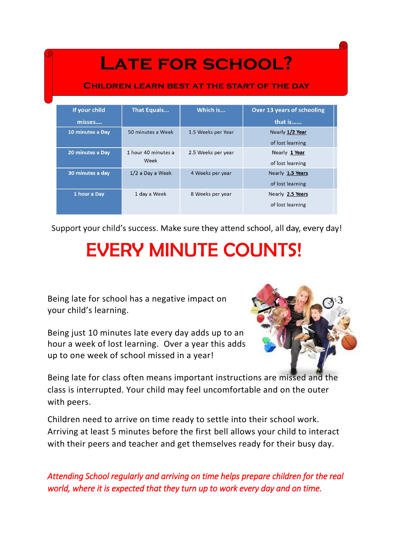| <b>LATE FOR SCHOOL?</b><br><b>CHILDREN LEARN BEST AT THE START OF THE DAY</b> |                             |                    |                                   |
|-------------------------------------------------------------------------------|-----------------------------|--------------------|-----------------------------------|
| If your child                                                                 | <b>That Equals</b>          | Which is           | <b>Over 13 years of schooling</b> |
| misses                                                                        |                             |                    | that is                           |
| 10 minutes a Day                                                              | 50 minutes a Week           | 1.5 Weeks per Year | Nearly 1/2 Year                   |
|                                                                               |                             |                    | of lost learning                  |
| 20 minutes a Day                                                              | 1 hour 40 minutes a<br>Week | 2.5 Weeks per year | Nearly 1 Year                     |
|                                                                               |                             |                    | of lost learning                  |
| 30 minutes a day                                                              | 1/2 a Day a Week            | 4 Weeks per year   | Nearly 1.5 Years                  |
|                                                                               |                             |                    | of lost learning                  |
| 1 hour a Day                                                                  | 1 day a Week                | 8 Weeks per year   | Nearly 2.5 Years                  |
|                                                                               |                             |                    | of lost learning                  |

Support your child's success. Make sure they attend school, all day, every day!

## **EVERY MINUTE COUNTS!**

Being late for school has a negative impact on your child's learning.

Being just 10 minutes late every day adds up to an hour a week of lost learning. Over a year this adds up to one week of school missed in a year!



Being late for class often means important instructions are missed and the class is interrupted. Your child may feel uncomfortable and on the outer with peers.

Children need to arrive on time ready to settle into their school work. Arriving at least 5 minutes before the first bell allows your child to interact with their peers and teacher and get themselves ready for their busy day.

*Attending School regularly and arriving on time helps prepare children for the real world, where it is expected that they turn up to work every day and on time.*